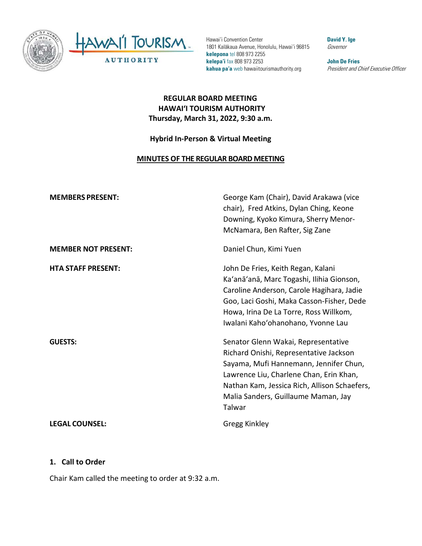

Hawai'i Convention Center 1801 Kalākaua Avenue, Honolulu, Hawai'i 96815 **kelepona** tel 808 973 2255 **kelepa'i** fax 808 973 2253 **kahua pa'a** web hawaiitourismauthority.org

**David Y. Ige** Governor

**John De Fries** President and Chief Executive Officer

### **REGULAR BOARD MEETING HAWAI'I TOURISM AUTHORITY Thursday, March 31, 2022, 9:30 a.m.**

#### **Hybrid In-Person & Virtual Meeting**

#### **MINUTES OF THE REGULAR BOARD MEETING**

| <b>MEMBERS PRESENT:</b>    | George Kam (Chair), David Arakawa (vice<br>chair), Fred Atkins, Dylan Ching, Keone<br>Downing, Kyoko Kimura, Sherry Menor-<br>McNamara, Ben Rafter, Sig Zane                                                                                                        |
|----------------------------|---------------------------------------------------------------------------------------------------------------------------------------------------------------------------------------------------------------------------------------------------------------------|
| <b>MEMBER NOT PRESENT:</b> | Daniel Chun, Kimi Yuen                                                                                                                                                                                                                                              |
| <b>HTA STAFF PRESENT:</b>  | John De Fries, Keith Regan, Kalani<br>Ka'anā'anā, Marc Togashi, Ilihia Gionson,<br>Caroline Anderson, Carole Hagihara, Jadie<br>Goo, Laci Goshi, Maka Casson-Fisher, Dede<br>Howa, Irina De La Torre, Ross Willkom,<br>Iwalani Kaho'ohanohano, Yvonne Lau           |
| <b>GUESTS:</b>             | Senator Glenn Wakai, Representative<br>Richard Onishi, Representative Jackson<br>Sayama, Mufi Hannemann, Jennifer Chun,<br>Lawrence Liu, Charlene Chan, Erin Khan,<br>Nathan Kam, Jessica Rich, Allison Schaefers,<br>Malia Sanders, Guillaume Maman, Jay<br>Talwar |
| <b>LEGAL COUNSEL:</b>      | Gregg Kinkley                                                                                                                                                                                                                                                       |

#### **1. Call to Order**

Chair Kam called the meeting to order at 9:32 a.m.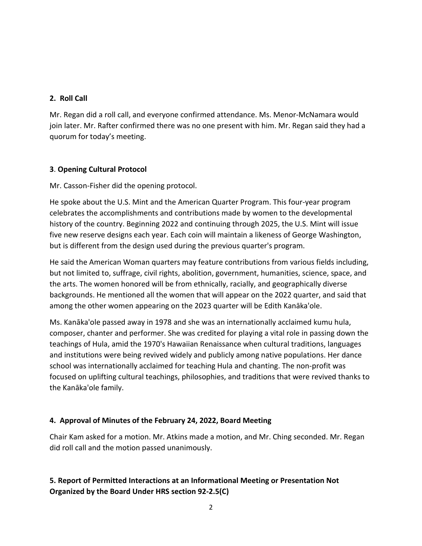### **2. Roll Call**

Mr. Regan did a roll call, and everyone confirmed attendance. Ms. Menor-McNamara would join later. Mr. Rafter confirmed there was no one present with him. Mr. Regan said they had a quorum for today's meeting.

### **3**. **Opening Cultural Protocol**

Mr. Casson-Fisher did the opening protocol.

He spoke about the U.S. Mint and the American Quarter Program. This four-year program celebrates the accomplishments and contributions made by women to the developmental history of the country. Beginning 2022 and continuing through 2025, the U.S. Mint will issue five new reserve designs each year. Each coin will maintain a likeness of George Washington, but is different from the design used during the previous quarter's program.

He said the American Woman quarters may feature contributions from various fields including, but not limited to, suffrage, civil rights, abolition, government, humanities, science, space, and the arts. The women honored will be from ethnically, racially, and geographically diverse backgrounds. He mentioned all the women that will appear on the 2022 quarter, and said that among the other women appearing on the 2023 quarter will be Edith Kanāka'ole.

Ms. Kanāka'ole passed away in 1978 and she was an internationally acclaimed kumu hula, composer, chanter and performer. She was credited for playing a vital role in passing down the teachings of Hula, amid the 1970's Hawaiian Renaissance when cultural traditions, languages and institutions were being revived widely and publicly among native populations. Her dance school was internationally acclaimed for teaching Hula and chanting. The non-profit was focused on uplifting cultural teachings, philosophies, and traditions that were revived thanks to the Kanāka'ole family.

## **4. Approval of Minutes of the February 24, 2022, Board Meeting**

Chair Kam asked for a motion. Mr. Atkins made a motion, and Mr. Ching seconded. Mr. Regan did roll call and the motion passed unanimously.

# **5. Report of Permitted Interactions at an Informational Meeting or Presentation Not Organized by the Board Under HRS section 92-2.5(C)**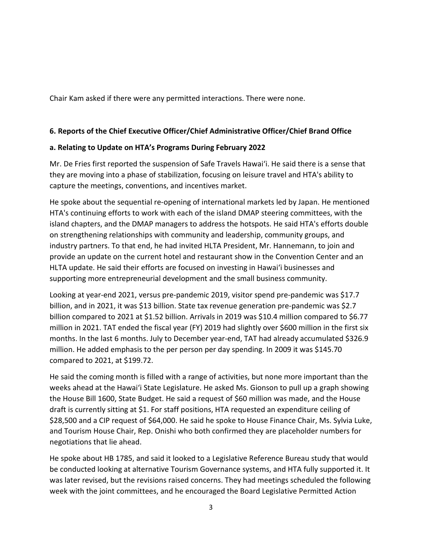Chair Kam asked if there were any permitted interactions. There were none.

#### **6. Reports of the Chief Executive Officer/Chief Administrative Officer/Chief Brand Office**

#### **a. Relating to Update on HTA's Programs During February 2022**

Mr. De Fries first reported the suspension of Safe Travels Hawai'i. He said there is a sense that they are moving into a phase of stabilization, focusing on leisure travel and HTA's ability to capture the meetings, conventions, and incentives market.

He spoke about the sequential re-opening of international markets led by Japan. He mentioned HTA's continuing efforts to work with each of the island DMAP steering committees, with the island chapters, and the DMAP managers to address the hotspots. He said HTA's efforts double on strengthening relationships with community and leadership, community groups, and industry partners. To that end, he had invited HLTA President, Mr. Hannemann, to join and provide an update on the current hotel and restaurant show in the Convention Center and an HLTA update. He said their efforts are focused on investing in Hawai'i businesses and supporting more entrepreneurial development and the small business community.

Looking at year-end 2021, versus pre-pandemic 2019, visitor spend pre-pandemic was \$17.7 billion, and in 2021, it was \$13 billion. State tax revenue generation pre-pandemic was \$2.7 billion compared to 2021 at \$1.52 billion. Arrivals in 2019 was \$10.4 million compared to \$6.77 million in 2021. TAT ended the fiscal year (FY) 2019 had slightly over \$600 million in the first six months. In the last 6 months. July to December year-end, TAT had already accumulated \$326.9 million. He added emphasis to the per person per day spending. In 2009 it was \$145.70 compared to 2021, at \$199.72.

He said the coming month is filled with a range of activities, but none more important than the weeks ahead at the Hawai'i State Legislature. He asked Ms. Gionson to pull up a graph showing the House Bill 1600, State Budget. He said a request of \$60 million was made, and the House draft is currently sitting at \$1. For staff positions, HTA requested an expenditure ceiling of \$28,500 and a CIP request of \$64,000. He said he spoke to House Finance Chair, Ms. Sylvia Luke, and Tourism House Chair, Rep. Onishi who both confirmed they are placeholder numbers for negotiations that lie ahead.

He spoke about HB 1785, and said it looked to a Legislative Reference Bureau study that would be conducted looking at alternative Tourism Governance systems, and HTA fully supported it. It was later revised, but the revisions raised concerns. They had meetings scheduled the following week with the joint committees, and he encouraged the Board Legislative Permitted Action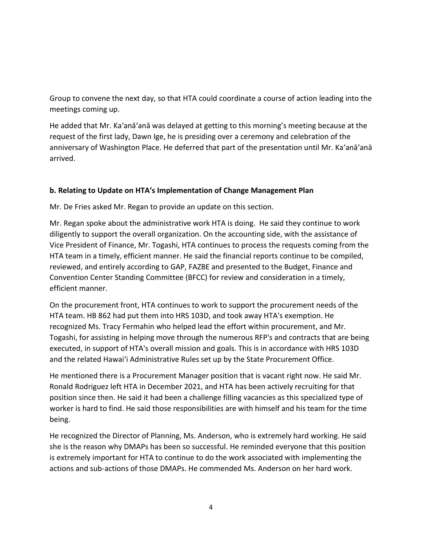Group to convene the next day, so that HTA could coordinate a course of action leading into the meetings coming up.

He added that Mr. Ka'anā'anā was delayed at getting to this morning's meeting because at the request of the first lady, Dawn Ige, he is presiding over a ceremony and celebration of the anniversary of Washington Place. He deferred that part of the presentation until Mr. Ka'anā'anā arrived.

### **b. Relating to Update on HTA's Implementation of Change Management Plan**

Mr. De Fries asked Mr. Regan to provide an update on this section.

Mr. Regan spoke about the administrative work HTA is doing. He said they continue to work diligently to support the overall organization. On the accounting side, with the assistance of Vice President of Finance, Mr. Togashi, HTA continues to process the requests coming from the HTA team in a timely, efficient manner. He said the financial reports continue to be compiled, reviewed, and entirely according to GAP, FAZBE and presented to the Budget, Finance and Convention Center Standing Committee (BFCC) for review and consideration in a timely, efficient manner.

On the procurement front, HTA continues to work to support the procurement needs of the HTA team. HB 862 had put them into HRS 103D, and took away HTA's exemption. He recognized Ms. Tracy Fermahin who helped lead the effort within procurement, and Mr. Togashi, for assisting in helping move through the numerous RFP's and contracts that are being executed, in support of HTA's overall mission and goals. This is in accordance with HRS 103D and the related Hawai'i Administrative Rules set up by the State Procurement Office.

He mentioned there is a Procurement Manager position that is vacant right now. He said Mr. Ronald Rodriguez left HTA in December 2021, and HTA has been actively recruiting for that position since then. He said it had been a challenge filling vacancies as this specialized type of worker is hard to find. He said those responsibilities are with himself and his team for the time being.

He recognized the Director of Planning, Ms. Anderson, who is extremely hard working. He said she is the reason why DMAPs has been so successful. He reminded everyone that this position is extremely important for HTA to continue to do the work associated with implementing the actions and sub-actions of those DMAPs. He commended Ms. Anderson on her hard work.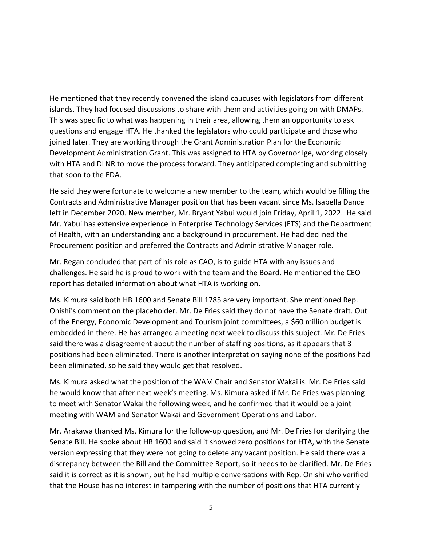He mentioned that they recently convened the island caucuses with legislators from different islands. They had focused discussions to share with them and activities going on with DMAPs. This was specific to what was happening in their area, allowing them an opportunity to ask questions and engage HTA. He thanked the legislators who could participate and those who joined later. They are working through the Grant Administration Plan for the Economic Development Administration Grant. This was assigned to HTA by Governor Ige, working closely with HTA and DLNR to move the process forward. They anticipated completing and submitting that soon to the EDA.

He said they were fortunate to welcome a new member to the team, which would be filling the Contracts and Administrative Manager position that has been vacant since Ms. Isabella Dance left in December 2020. New member, Mr. Bryant Yabui would join Friday, April 1, 2022. He said Mr. Yabui has extensive experience in Enterprise Technology Services (ETS) and the Department of Health, with an understanding and a background in procurement. He had declined the Procurement position and preferred the Contracts and Administrative Manager role.

Mr. Regan concluded that part of his role as CAO, is to guide HTA with any issues and challenges. He said he is proud to work with the team and the Board. He mentioned the CEO report has detailed information about what HTA is working on.

Ms. Kimura said both HB 1600 and Senate Bill 1785 are very important. She mentioned Rep. Onishi's comment on the placeholder. Mr. De Fries said they do not have the Senate draft. Out of the Energy, Economic Development and Tourism joint committees, a \$60 million budget is embedded in there. He has arranged a meeting next week to discuss this subject. Mr. De Fries said there was a disagreement about the number of staffing positions, as it appears that 3 positions had been eliminated. There is another interpretation saying none of the positions had been eliminated, so he said they would get that resolved.

Ms. Kimura asked what the position of the WAM Chair and Senator Wakai is. Mr. De Fries said he would know that after next week's meeting. Ms. Kimura asked if Mr. De Fries was planning to meet with Senator Wakai the following week, and he confirmed that it would be a joint meeting with WAM and Senator Wakai and Government Operations and Labor.

Mr. Arakawa thanked Ms. Kimura for the follow-up question, and Mr. De Fries for clarifying the Senate Bill. He spoke about HB 1600 and said it showed zero positions for HTA, with the Senate version expressing that they were not going to delete any vacant position. He said there was a discrepancy between the Bill and the Committee Report, so it needs to be clarified. Mr. De Fries said it is correct as it is shown, but he had multiple conversations with Rep. Onishi who verified that the House has no interest in tampering with the number of positions that HTA currently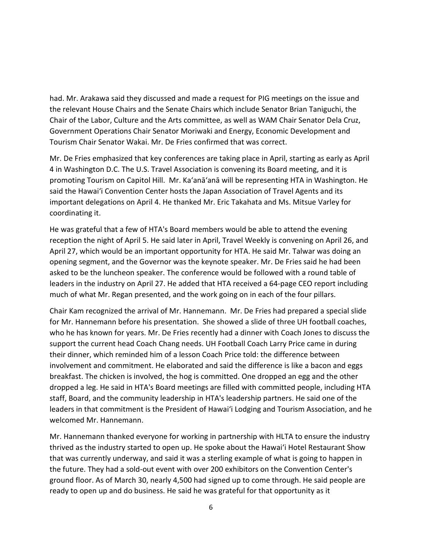had. Mr. Arakawa said they discussed and made a request for PIG meetings on the issue and the relevant House Chairs and the Senate Chairs which include Senator Brian Taniguchi, the Chair of the Labor, Culture and the Arts committee, as well as WAM Chair Senator Dela Cruz, Government Operations Chair Senator Moriwaki and Energy, Economic Development and Tourism Chair Senator Wakai. Mr. De Fries confirmed that was correct.

Mr. De Fries emphasized that key conferences are taking place in April, starting as early as April 4 in Washington D.C. The U.S. Travel Association is convening its Board meeting, and it is promoting Tourism on Capitol Hill. Mr. Ka'anā'anā will be representing HTA in Washington. He said the Hawai'i Convention Center hosts the Japan Association of Travel Agents and its important delegations on April 4. He thanked Mr. Eric Takahata and Ms. Mitsue Varley for coordinating it.

He was grateful that a few of HTA's Board members would be able to attend the evening reception the night of April 5. He said later in April, Travel Weekly is convening on April 26, and April 27, which would be an important opportunity for HTA. He said Mr. Talwar was doing an opening segment, and the Governor was the keynote speaker. Mr. De Fries said he had been asked to be the luncheon speaker. The conference would be followed with a round table of leaders in the industry on April 27. He added that HTA received a 64-page CEO report including much of what Mr. Regan presented, and the work going on in each of the four pillars.

Chair Kam recognized the arrival of Mr. Hannemann. Mr. De Fries had prepared a special slide for Mr. Hannemann before his presentation. She showed a slide of three UH football coaches, who he has known for years. Mr. De Fries recently had a dinner with Coach Jones to discuss the support the current head Coach Chang needs. UH Football Coach Larry Price came in during their dinner, which reminded him of a lesson Coach Price told: the difference between involvement and commitment. He elaborated and said the difference is like a bacon and eggs breakfast. The chicken is involved, the hog is committed. One dropped an egg and the other dropped a leg. He said in HTA's Board meetings are filled with committed people, including HTA staff, Board, and the community leadership in HTA's leadership partners. He said one of the leaders in that commitment is the President of Hawai'i Lodging and Tourism Association, and he welcomed Mr. Hannemann.

Mr. Hannemann thanked everyone for working in partnership with HLTA to ensure the industry thrived as the industry started to open up. He spoke about the Hawai'i Hotel Restaurant Show that was currently underway, and said it was a sterling example of what is going to happen in the future. They had a sold-out event with over 200 exhibitors on the Convention Center's ground floor. As of March 30, nearly 4,500 had signed up to come through. He said people are ready to open up and do business. He said he was grateful for that opportunity as it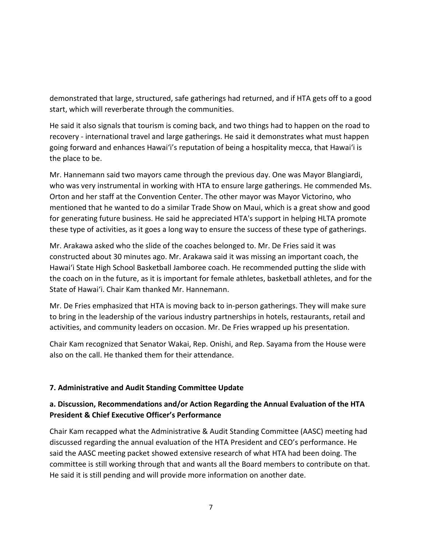demonstrated that large, structured, safe gatherings had returned, and if HTA gets off to a good start, which will reverberate through the communities.

He said it also signals that tourism is coming back, and two things had to happen on the road to recovery - international travel and large gatherings. He said it demonstrates what must happen going forward and enhances Hawai'i's reputation of being a hospitality mecca, that Hawai'i is the place to be.

Mr. Hannemann said two mayors came through the previous day. One was Mayor Blangiardi, who was very instrumental in working with HTA to ensure large gatherings. He commended Ms. Orton and her staff at the Convention Center. The other mayor was Mayor Victorino, who mentioned that he wanted to do a similar Trade Show on Maui, which is a great show and good for generating future business. He said he appreciated HTA's support in helping HLTA promote these type of activities, as it goes a long way to ensure the success of these type of gatherings.

Mr. Arakawa asked who the slide of the coaches belonged to. Mr. De Fries said it was constructed about 30 minutes ago. Mr. Arakawa said it was missing an important coach, the Hawai'i State High School Basketball Jamboree coach. He recommended putting the slide with the coach on in the future, as it is important for female athletes, basketball athletes, and for the State of Hawai'i. Chair Kam thanked Mr. Hannemann.

Mr. De Fries emphasized that HTA is moving back to in-person gatherings. They will make sure to bring in the leadership of the various industry partnerships in hotels, restaurants, retail and activities, and community leaders on occasion. Mr. De Fries wrapped up his presentation.

Chair Kam recognized that Senator Wakai, Rep. Onishi, and Rep. Sayama from the House were also on the call. He thanked them for their attendance.

### **7. Administrative and Audit Standing Committee Update**

## **a. Discussion, Recommendations and/or Action Regarding the Annual Evaluation of the HTA President & Chief Executive Officer's Performance**

Chair Kam recapped what the Administrative & Audit Standing Committee (AASC) meeting had discussed regarding the annual evaluation of the HTA President and CEO's performance. He said the AASC meeting packet showed extensive research of what HTA had been doing. The committee is still working through that and wants all the Board members to contribute on that. He said it is still pending and will provide more information on another date.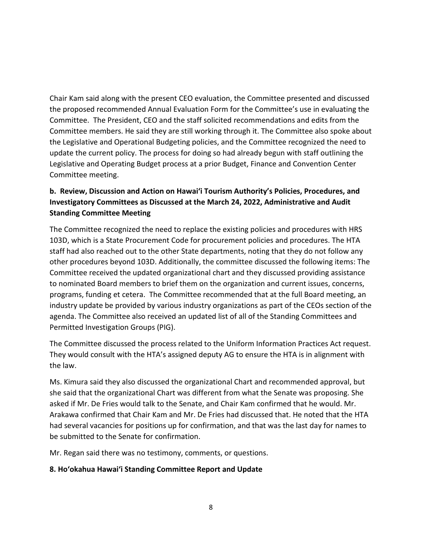Chair Kam said along with the present CEO evaluation, the Committee presented and discussed the proposed recommended Annual Evaluation Form for the Committee's use in evaluating the Committee. The President, CEO and the staff solicited recommendations and edits from the Committee members. He said they are still working through it. The Committee also spoke about the Legislative and Operational Budgeting policies, and the Committee recognized the need to update the current policy. The process for doing so had already begun with staff outlining the Legislative and Operating Budget process at a prior Budget, Finance and Convention Center Committee meeting.

## **b. Review, Discussion and Action on Hawai'i Tourism Authority's Policies, Procedures, and Investigatory Committees as Discussed at the March 24, 2022, Administrative and Audit Standing Committee Meeting**

The Committee recognized the need to replace the existing policies and procedures with HRS 103D, which is a State Procurement Code for procurement policies and procedures. The HTA staff had also reached out to the other State departments, noting that they do not follow any other procedures beyond 103D. Additionally, the committee discussed the following items: The Committee received the updated organizational chart and they discussed providing assistance to nominated Board members to brief them on the organization and current issues, concerns, programs, funding et cetera. The Committee recommended that at the full Board meeting, an industry update be provided by various industry organizations as part of the CEOs section of the agenda. The Committee also received an updated list of all of the Standing Committees and Permitted Investigation Groups (PIG).

The Committee discussed the process related to the Uniform Information Practices Act request. They would consult with the HTA's assigned deputy AG to ensure the HTA is in alignment with the law.

Ms. Kimura said they also discussed the organizational Chart and recommended approval, but she said that the organizational Chart was different from what the Senate was proposing. She asked if Mr. De Fries would talk to the Senate, and Chair Kam confirmed that he would. Mr. Arakawa confirmed that Chair Kam and Mr. De Fries had discussed that. He noted that the HTA had several vacancies for positions up for confirmation, and that was the last day for names to be submitted to the Senate for confirmation.

Mr. Regan said there was no testimony, comments, or questions.

### **8. Hoʻokahua Hawai'i Standing Committee Report and Update**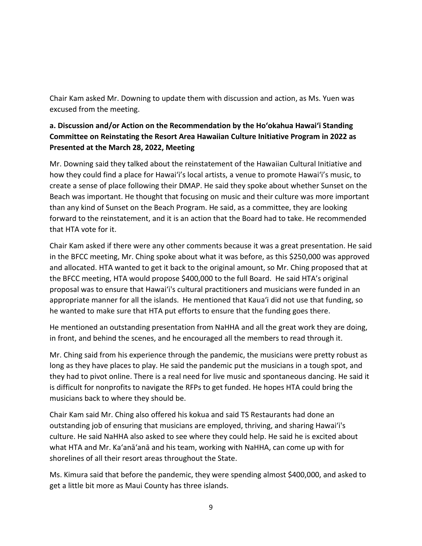Chair Kam asked Mr. Downing to update them with discussion and action, as Ms. Yuen was excused from the meeting.

## **a. Discussion and/or Action on the Recommendation by the Hoʻokahua Hawai'i Standing Committee on Reinstating the Resort Area Hawaiian Culture Initiative Program in 2022 as Presented at the March 28, 2022, Meeting**

Mr. Downing said they talked about the reinstatement of the Hawaiian Cultural Initiative and how they could find a place for Hawai'i's local artists, a venue to promote Hawai'i's music, to create a sense of place following their DMAP. He said they spoke about whether Sunset on the Beach was important. He thought that focusing on music and their culture was more important than any kind of Sunset on the Beach Program. He said, as a committee, they are looking forward to the reinstatement, and it is an action that the Board had to take. He recommended that HTA vote for it.

Chair Kam asked if there were any other comments because it was a great presentation. He said in the BFCC meeting, Mr. Ching spoke about what it was before, as this \$250,000 was approved and allocated. HTA wanted to get it back to the original amount, so Mr. Ching proposed that at the BFCC meeting, HTA would propose \$400,000 to the full Board. He said HTA's original proposal was to ensure that Hawai'i's cultural practitioners and musicians were funded in an appropriate manner for all the islands. He mentioned that Kaua'i did not use that funding, so he wanted to make sure that HTA put efforts to ensure that the funding goes there.

He mentioned an outstanding presentation from NaHHA and all the great work they are doing, in front, and behind the scenes, and he encouraged all the members to read through it.

Mr. Ching said from his experience through the pandemic, the musicians were pretty robust as long as they have places to play. He said the pandemic put the musicians in a tough spot, and they had to pivot online. There is a real need for live music and spontaneous dancing. He said it is difficult for nonprofits to navigate the RFPs to get funded. He hopes HTA could bring the musicians back to where they should be.

Chair Kam said Mr. Ching also offered his kokua and said TS Restaurants had done an outstanding job of ensuring that musicians are employed, thriving, and sharing Hawai'i's culture. He said NaHHA also asked to see where they could help. He said he is excited about what HTA and Mr. Ka'anā'anā and his team, working with NaHHA, can come up with for shorelines of all their resort areas throughout the State.

Ms. Kimura said that before the pandemic, they were spending almost \$400,000, and asked to get a little bit more as Maui County has three islands.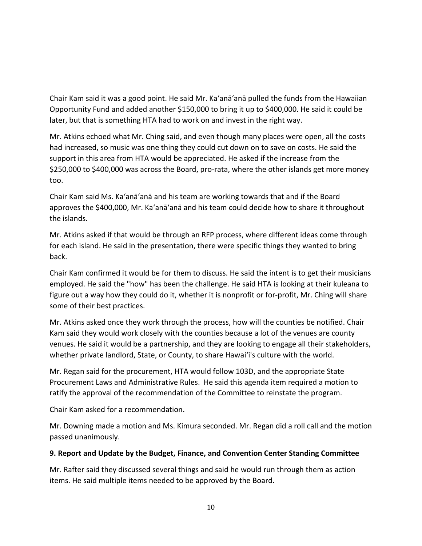Chair Kam said it was a good point. He said Mr. Ka'anā'anā pulled the funds from the Hawaiian Opportunity Fund and added another \$150,000 to bring it up to \$400,000. He said it could be later, but that is something HTA had to work on and invest in the right way.

Mr. Atkins echoed what Mr. Ching said, and even though many places were open, all the costs had increased, so music was one thing they could cut down on to save on costs. He said the support in this area from HTA would be appreciated. He asked if the increase from the \$250,000 to \$400,000 was across the Board, pro-rata, where the other islands get more money too.

Chair Kam said Ms. Ka'anā'anā and his team are working towards that and if the Board approves the \$400,000, Mr. Ka'anā'anā and his team could decide how to share it throughout the islands.

Mr. Atkins asked if that would be through an RFP process, where different ideas come through for each island. He said in the presentation, there were specific things they wanted to bring back.

Chair Kam confirmed it would be for them to discuss. He said the intent is to get their musicians employed. He said the "how" has been the challenge. He said HTA is looking at their kuleana to figure out a way how they could do it, whether it is nonprofit or for-profit, Mr. Ching will share some of their best practices.

Mr. Atkins asked once they work through the process, how will the counties be notified. Chair Kam said they would work closely with the counties because a lot of the venues are county venues. He said it would be a partnership, and they are looking to engage all their stakeholders, whether private landlord, State, or County, to share Hawai'i's culture with the world.

Mr. Regan said for the procurement, HTA would follow 103D, and the appropriate State Procurement Laws and Administrative Rules. He said this agenda item required a motion to ratify the approval of the recommendation of the Committee to reinstate the program.

Chair Kam asked for a recommendation.

Mr. Downing made a motion and Ms. Kimura seconded. Mr. Regan did a roll call and the motion passed unanimously.

#### **9. Report and Update by the Budget, Finance, and Convention Center Standing Committee**

Mr. Rafter said they discussed several things and said he would run through them as action items. He said multiple items needed to be approved by the Board.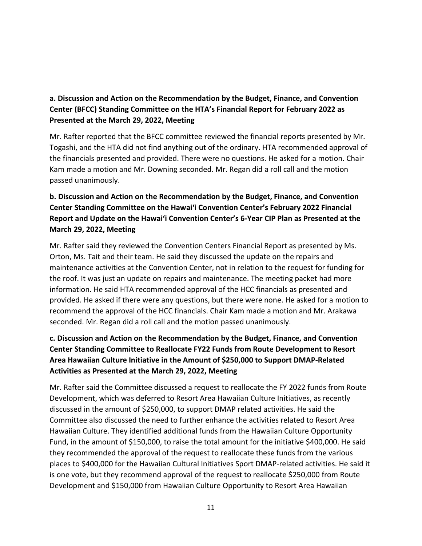## **a. Discussion and Action on the Recommendation by the Budget, Finance, and Convention Center (BFCC) Standing Committee on the HTA's Financial Report for February 2022 as Presented at the March 29, 2022, Meeting**

Mr. Rafter reported that the BFCC committee reviewed the financial reports presented by Mr. Togashi, and the HTA did not find anything out of the ordinary. HTA recommended approval of the financials presented and provided. There were no questions. He asked for a motion. Chair Kam made a motion and Mr. Downing seconded. Mr. Regan did a roll call and the motion passed unanimously.

# **b. Discussion and Action on the Recommendation by the Budget, Finance, and Convention Center Standing Committee on the Hawai'i Convention Center's February 2022 Financial Report and Update on the Hawai'i Convention Center's 6-Year CIP Plan as Presented at the March 29, 2022, Meeting**

Mr. Rafter said they reviewed the Convention Centers Financial Report as presented by Ms. Orton, Ms. Tait and their team. He said they discussed the update on the repairs and maintenance activities at the Convention Center, not in relation to the request for funding for the roof. It was just an update on repairs and maintenance. The meeting packet had more information. He said HTA recommended approval of the HCC financials as presented and provided. He asked if there were any questions, but there were none. He asked for a motion to recommend the approval of the HCC financials. Chair Kam made a motion and Mr. Arakawa seconded. Mr. Regan did a roll call and the motion passed unanimously.

# **c. Discussion and Action on the Recommendation by the Budget, Finance, and Convention Center Standing Committee to Reallocate FY22 Funds from Route Development to Resort Area Hawaiian Culture Initiative in the Amount of \$250,000 to Support DMAP-Related Activities as Presented at the March 29, 2022, Meeting**

Mr. Rafter said the Committee discussed a request to reallocate the FY 2022 funds from Route Development, which was deferred to Resort Area Hawaiian Culture Initiatives, as recently discussed in the amount of \$250,000, to support DMAP related activities. He said the Committee also discussed the need to further enhance the activities related to Resort Area Hawaiian Culture. They identified additional funds from the Hawaiian Culture Opportunity Fund, in the amount of \$150,000, to raise the total amount for the initiative \$400,000. He said they recommended the approval of the request to reallocate these funds from the various places to \$400,000 for the Hawaiian Cultural Initiatives Sport DMAP-related activities. He said it is one vote, but they recommend approval of the request to reallocate \$250,000 from Route Development and \$150,000 from Hawaiian Culture Opportunity to Resort Area Hawaiian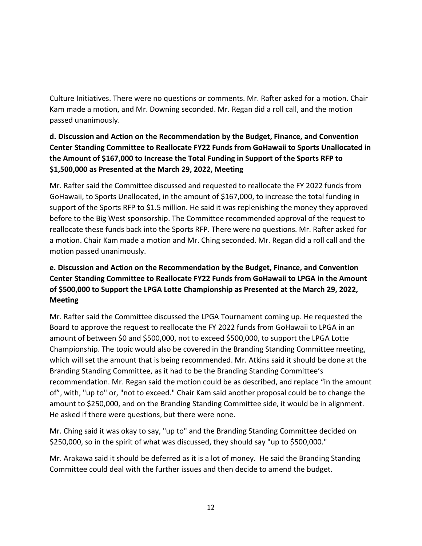Culture Initiatives. There were no questions or comments. Mr. Rafter asked for a motion. Chair Kam made a motion, and Mr. Downing seconded. Mr. Regan did a roll call, and the motion passed unanimously.

# **d. Discussion and Action on the Recommendation by the Budget, Finance, and Convention Center Standing Committee to Reallocate FY22 Funds from GoHawaii to Sports Unallocated in the Amount of \$167,000 to Increase the Total Funding in Support of the Sports RFP to \$1,500,000 as Presented at the March 29, 2022, Meeting**

Mr. Rafter said the Committee discussed and requested to reallocate the FY 2022 funds from GoHawaii, to Sports Unallocated, in the amount of \$167,000, to increase the total funding in support of the Sports RFP to \$1.5 million. He said it was replenishing the money they approved before to the Big West sponsorship. The Committee recommended approval of the request to reallocate these funds back into the Sports RFP. There were no questions. Mr. Rafter asked for a motion. Chair Kam made a motion and Mr. Ching seconded. Mr. Regan did a roll call and the motion passed unanimously.

# **e. Discussion and Action on the Recommendation by the Budget, Finance, and Convention Center Standing Committee to Reallocate FY22 Funds from GoHawaii to LPGA in the Amount of \$500,000 to Support the LPGA Lotte Championship as Presented at the March 29, 2022, Meeting**

Mr. Rafter said the Committee discussed the LPGA Tournament coming up. He requested the Board to approve the request to reallocate the FY 2022 funds from GoHawaii to LPGA in an amount of between \$0 and \$500,000, not to exceed \$500,000, to support the LPGA Lotte Championship. The topic would also be covered in the Branding Standing Committee meeting, which will set the amount that is being recommended. Mr. Atkins said it should be done at the Branding Standing Committee, as it had to be the Branding Standing Committee's recommendation. Mr. Regan said the motion could be as described, and replace "in the amount of", with, "up to" or, "not to exceed." Chair Kam said another proposal could be to change the amount to \$250,000, and on the Branding Standing Committee side, it would be in alignment. He asked if there were questions, but there were none.

Mr. Ching said it was okay to say, "up to" and the Branding Standing Committee decided on \$250,000, so in the spirit of what was discussed, they should say "up to \$500,000."

Mr. Arakawa said it should be deferred as it is a lot of money. He said the Branding Standing Committee could deal with the further issues and then decide to amend the budget.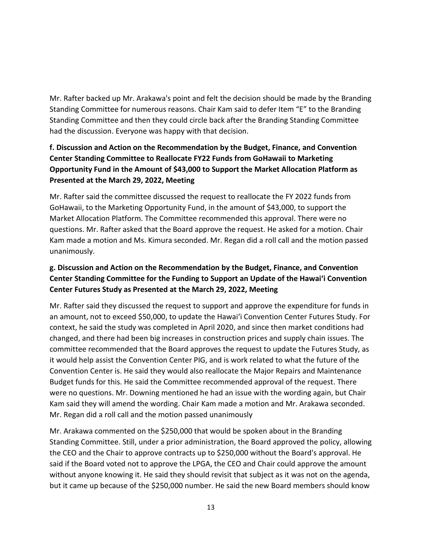Mr. Rafter backed up Mr. Arakawa's point and felt the decision should be made by the Branding Standing Committee for numerous reasons. Chair Kam said to defer Item "E" to the Branding Standing Committee and then they could circle back after the Branding Standing Committee had the discussion. Everyone was happy with that decision.

# **f. Discussion and Action on the Recommendation by the Budget, Finance, and Convention Center Standing Committee to Reallocate FY22 Funds from GoHawaii to Marketing Opportunity Fund in the Amount of \$43,000 to Support the Market Allocation Platform as Presented at the March 29, 2022, Meeting**

Mr. Rafter said the committee discussed the request to reallocate the FY 2022 funds from GoHawaii, to the Marketing Opportunity Fund, in the amount of \$43,000, to support the Market Allocation Platform. The Committee recommended this approval. There were no questions. Mr. Rafter asked that the Board approve the request. He asked for a motion. Chair Kam made a motion and Ms. Kimura seconded. Mr. Regan did a roll call and the motion passed unanimously.

# **g. Discussion and Action on the Recommendation by the Budget, Finance, and Convention Center Standing Committee for the Funding to Support an Update of the Hawai'i Convention Center Futures Study as Presented at the March 29, 2022, Meeting**

Mr. Rafter said they discussed the request to support and approve the expenditure for funds in an amount, not to exceed \$50,000, to update the Hawai'i Convention Center Futures Study. For context, he said the study was completed in April 2020, and since then market conditions had changed, and there had been big increases in construction prices and supply chain issues. The committee recommended that the Board approves the request to update the Futures Study, as it would help assist the Convention Center PIG, and is work related to what the future of the Convention Center is. He said they would also reallocate the Major Repairs and Maintenance Budget funds for this. He said the Committee recommended approval of the request. There were no questions. Mr. Downing mentioned he had an issue with the wording again, but Chair Kam said they will amend the wording. Chair Kam made a motion and Mr. Arakawa seconded. Mr. Regan did a roll call and the motion passed unanimously

Mr. Arakawa commented on the \$250,000 that would be spoken about in the Branding Standing Committee. Still, under a prior administration, the Board approved the policy, allowing the CEO and the Chair to approve contracts up to \$250,000 without the Board's approval. He said if the Board voted not to approve the LPGA, the CEO and Chair could approve the amount without anyone knowing it. He said they should revisit that subject as it was not on the agenda, but it came up because of the \$250,000 number. He said the new Board members should know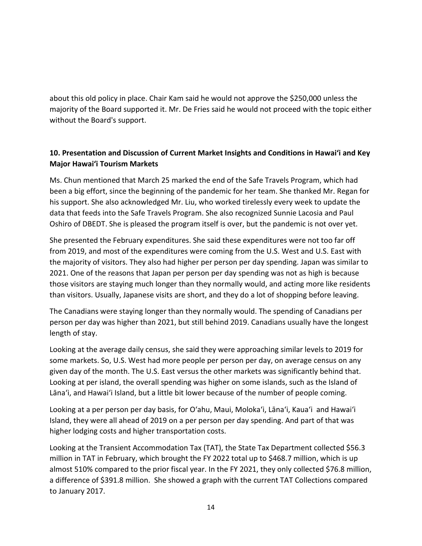about this old policy in place. Chair Kam said he would not approve the \$250,000 unless the majority of the Board supported it. Mr. De Fries said he would not proceed with the topic either without the Board's support.

## **10. Presentation and Discussion of Current Market Insights and Conditions in Hawai'i and Key Major Hawai'i Tourism Markets**

Ms. Chun mentioned that March 25 marked the end of the Safe Travels Program, which had been a big effort, since the beginning of the pandemic for her team. She thanked Mr. Regan for his support. She also acknowledged Mr. Liu, who worked tirelessly every week to update the data that feeds into the Safe Travels Program. She also recognized Sunnie Lacosia and Paul Oshiro of DBEDT. She is pleased the program itself is over, but the pandemic is not over yet.

She presented the February expenditures. She said these expenditures were not too far off from 2019, and most of the expenditures were coming from the U.S. West and U.S. East with the majority of visitors. They also had higher per person per day spending. Japan was similar to 2021. One of the reasons that Japan per person per day spending was not as high is because those visitors are staying much longer than they normally would, and acting more like residents than visitors. Usually, Japanese visits are short, and they do a lot of shopping before leaving.

The Canadians were staying longer than they normally would. The spending of Canadians per person per day was higher than 2021, but still behind 2019. Canadians usually have the longest length of stay.

Looking at the average daily census, she said they were approaching similar levels to 2019 for some markets. So, U.S. West had more people per person per day, on average census on any given day of the month. The U.S. East versus the other markets was significantly behind that. Looking at per island, the overall spending was higher on some islands, such as the Island of Lāna'i, and Hawai'i Island, but a little bit lower because of the number of people coming.

Looking at a per person per day basis, for O'ahu, Maui, Moloka'i, Lāna'i, Kaua'i and Hawai'i Island, they were all ahead of 2019 on a per person per day spending. And part of that was higher lodging costs and higher transportation costs.

Looking at the Transient Accommodation Tax (TAT), the State Tax Department collected \$56.3 million in TAT in February, which brought the FY 2022 total up to \$468.7 million, which is up almost 510% compared to the prior fiscal year. In the FY 2021, they only collected \$76.8 million, a difference of \$391.8 million. She showed a graph with the current TAT Collections compared to January 2017.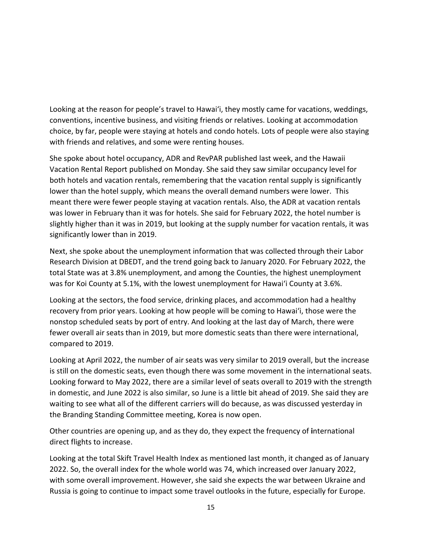Looking at the reason for people's travel to Hawai'i, they mostly came for vacations, weddings, conventions, incentive business, and visiting friends or relatives. Looking at accommodation choice, by far, people were staying at hotels and condo hotels. Lots of people were also staying with friends and relatives, and some were renting houses.

She spoke about hotel occupancy, ADR and RevPAR published last week, and the Hawaii Vacation Rental Report published on Monday. She said they saw similar occupancy level for both hotels and vacation rentals, remembering that the vacation rental supply is significantly lower than the hotel supply, which means the overall demand numbers were lower. This meant there were fewer people staying at vacation rentals. Also, the ADR at vacation rentals was lower in February than it was for hotels. She said for February 2022, the hotel number is slightly higher than it was in 2019, but looking at the supply number for vacation rentals, it was significantly lower than in 2019.

Next, she spoke about the unemployment information that was collected through their Labor Research Division at DBEDT, and the trend going back to January 2020. For February 2022, the total State was at 3.8% unemployment, and among the Counties, the highest unemployment was for Koi County at 5.1%, with the lowest unemployment for Hawai'i County at 3.6%.

Looking at the sectors, the food service, drinking places, and accommodation had a healthy recovery from prior years. Looking at how people will be coming to Hawai'i, those were the nonstop scheduled seats by port of entry. And looking at the last day of March, there were fewer overall air seats than in 2019, but more domestic seats than there were international, compared to 2019.

Looking at April 2022, the number of air seats was very similar to 2019 overall, but the increase is still on the domestic seats, even though there was some movement in the international seats. Looking forward to May 2022, there are a similar level of seats overall to 2019 with the strength in domestic, and June 2022 is also similar, so June is a little bit ahead of 2019. She said they are waiting to see what all of the different carriers will do because, as was discussed yesterday in the Branding Standing Committee meeting, Korea is now open.

Other countries are opening up, and as they do, they expect the frequency of **i**nternational direct flights to increase.

Looking at the total Skift Travel Health Index as mentioned last month, it changed as of January 2022. So, the overall index for the whole world was 74, which increased over January 2022, with some overall improvement. However, she said she expects the war between Ukraine and Russia is going to continue to impact some travel outlooks in the future, especially for Europe.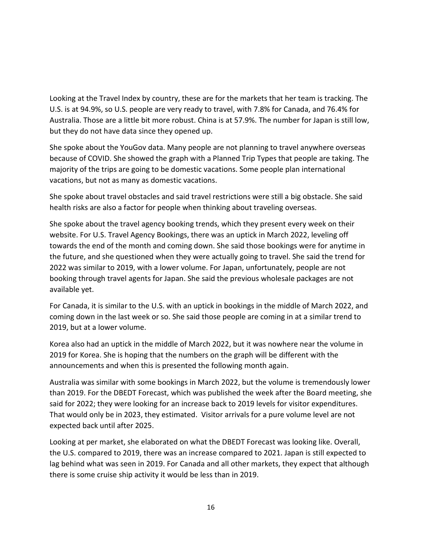Looking at the Travel Index by country, these are for the markets that her team is tracking. The U.S. is at 94.9%, so U.S. people are very ready to travel, with 7.8% for Canada, and 76.4% for Australia. Those are a little bit more robust. China is at 57.9%. The number for Japan is still low, but they do not have data since they opened up.

She spoke about the YouGov data. Many people are not planning to travel anywhere overseas because of COVID. She showed the graph with a Planned Trip Types that people are taking. The majority of the trips are going to be domestic vacations. Some people plan international vacations, but not as many as domestic vacations.

She spoke about travel obstacles and said travel restrictions were still a big obstacle. She said health risks are also a factor for people when thinking about traveling overseas.

She spoke about the travel agency booking trends, which they present every week on their website. For U.S. Travel Agency Bookings, there was an uptick in March 2022, leveling off towards the end of the month and coming down. She said those bookings were for anytime in the future, and she questioned when they were actually going to travel. She said the trend for 2022 was similar to 2019, with a lower volume. For Japan, unfortunately, people are not booking through travel agents for Japan. She said the previous wholesale packages are not available yet.

For Canada, it is similar to the U.S. with an uptick in bookings in the middle of March 2022, and coming down in the last week or so. She said those people are coming in at a similar trend to 2019, but at a lower volume.

Korea also had an uptick in the middle of March 2022, but it was nowhere near the volume in 2019 for Korea. She is hoping that the numbers on the graph will be different with the announcements and when this is presented the following month again.

Australia was similar with some bookings in March 2022, but the volume is tremendously lower than 2019. For the DBEDT Forecast, which was published the week after the Board meeting, she said for 2022; they were looking for an increase back to 2019 levels for visitor expenditures. That would only be in 2023, they estimated. Visitor arrivals for a pure volume level are not expected back until after 2025.

Looking at per market, she elaborated on what the DBEDT Forecast was looking like. Overall, the U.S. compared to 2019, there was an increase compared to 2021. Japan is still expected to lag behind what was seen in 2019. For Canada and all other markets, they expect that although there is some cruise ship activity it would be less than in 2019.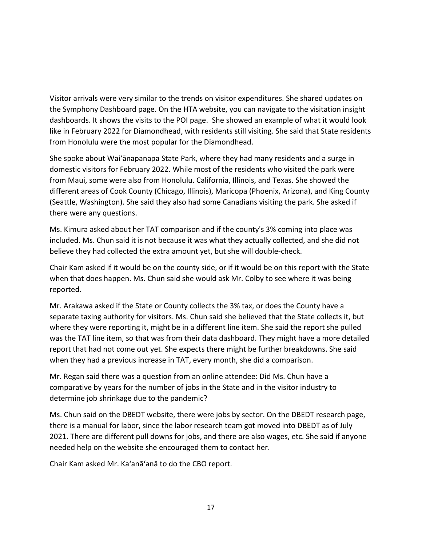Visitor arrivals were very similar to the trends on visitor expenditures. She shared updates on the Symphony Dashboard page. On the HTA website, you can navigate to the visitation insight dashboards. It shows the visits to the POI page. She showed an example of what it would look like in February 2022 for Diamondhead, with residents still visiting. She said that State residents from Honolulu were the most popular for the Diamondhead.

She spoke about Waiʻānapanapa State Park, where they had many residents and a surge in domestic visitors for February 2022. While most of the residents who visited the park were from Maui, some were also from Honolulu. California, Illinois, and Texas. She showed the different areas of Cook County (Chicago, Illinois), Maricopa (Phoenix, Arizona), and King County (Seattle, Washington). She said they also had some Canadians visiting the park. She asked if there were any questions.

Ms. Kimura asked about her TAT comparison and if the county's 3% coming into place was included. Ms. Chun said it is not because it was what they actually collected, and she did not believe they had collected the extra amount yet, but she will double-check.

Chair Kam asked if it would be on the county side, or if it would be on this report with the State when that does happen. Ms. Chun said she would ask Mr. Colby to see where it was being reported.

Mr. Arakawa asked if the State or County collects the 3% tax, or does the County have a separate taxing authority for visitors. Ms. Chun said she believed that the State collects it, but where they were reporting it, might be in a different line item. She said the report she pulled was the TAT line item, so that was from their data dashboard. They might have a more detailed report that had not come out yet. She expects there might be further breakdowns. She said when they had a previous increase in TAT, every month, she did a comparison.

Mr. Regan said there was a question from an online attendee: Did Ms. Chun have a comparative by years for the number of jobs in the State and in the visitor industry to determine job shrinkage due to the pandemic?

Ms. Chun said on the DBEDT website, there were jobs by sector. On the DBEDT research page, there is a manual for labor, since the labor research team got moved into DBEDT as of July 2021. There are different pull downs for jobs, and there are also wages, etc. She said if anyone needed help on the website she encouraged them to contact her.

Chair Kam asked Mr. Ka'anā'anā to do the CBO report.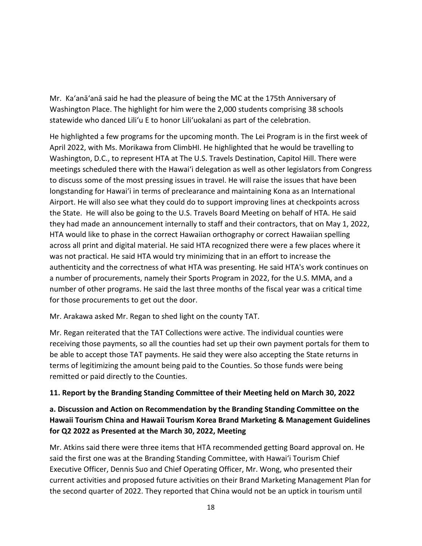Mr. Ka'anā'anā said he had the pleasure of being the MC at the 175th Anniversary of Washington Place. The highlight for him were the 2,000 students comprising 38 schools statewide who danced Liliʻu E to honor Liliʻuokalani as part of the celebration.

He highlighted a few programs for the upcoming month. The Lei Program is in the first week of April 2022, with Ms. Morikawa from ClimbHI. He highlighted that he would be travelling to Washington, D.C., to represent HTA at The U.S. Travels Destination, Capitol Hill. There were meetings scheduled there with the Hawai'i delegation as well as other legislators from Congress to discuss some of the most pressing issues in travel. He will raise the issues that have been longstanding for Hawai'i in terms of preclearance and maintaining Kona as an International Airport. He will also see what they could do to support improving lines at checkpoints across the State. He will also be going to the U.S. Travels Board Meeting on behalf of HTA. He said they had made an announcement internally to staff and their contractors, that on May 1, 2022, HTA would like to phase in the correct Hawaiian orthography or correct Hawaiian spelling across all print and digital material. He said HTA recognized there were a few places where it was not practical. He said HTA would try minimizing that in an effort to increase the authenticity and the correctness of what HTA was presenting. He said HTA's work continues on a number of procurements, namely their Sports Program in 2022, for the U.S. MMA, and a number of other programs. He said the last three months of the fiscal year was a critical time for those procurements to get out the door.

Mr. Arakawa asked Mr. Regan to shed light on the county TAT.

Mr. Regan reiterated that the TAT Collections were active. The individual counties were receiving those payments, so all the counties had set up their own payment portals for them to be able to accept those TAT payments. He said they were also accepting the State returns in terms of legitimizing the amount being paid to the Counties. So those funds were being remitted or paid directly to the Counties.

### **11. Report by the Branding Standing Committee of their Meeting held on March 30, 2022**

## **a. Discussion and Action on Recommendation by the Branding Standing Committee on the Hawaii Tourism China and Hawaii Tourism Korea Brand Marketing & Management Guidelines for Q2 2022 as Presented at the March 30, 2022, Meeting**

Mr. Atkins said there were three items that HTA recommended getting Board approval on. He said the first one was at the Branding Standing Committee, with Hawai'i Tourism Chief Executive Officer, Dennis Suo and Chief Operating Officer, Mr. Wong, who presented their current activities and proposed future activities on their Brand Marketing Management Plan for the second quarter of 2022. They reported that China would not be an uptick in tourism until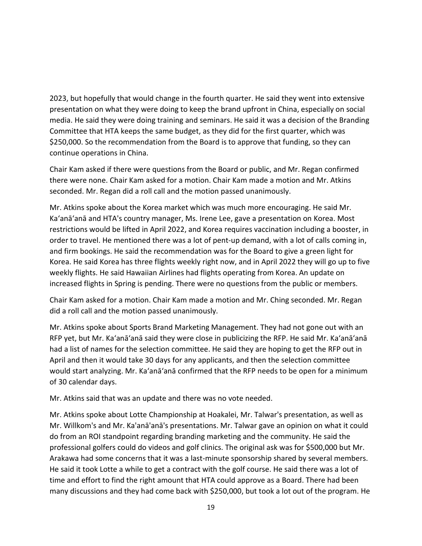2023, but hopefully that would change in the fourth quarter. He said they went into extensive presentation on what they were doing to keep the brand upfront in China, especially on social media. He said they were doing training and seminars. He said it was a decision of the Branding Committee that HTA keeps the same budget, as they did for the first quarter, which was \$250,000. So the recommendation from the Board is to approve that funding, so they can continue operations in China.

Chair Kam asked if there were questions from the Board or public, and Mr. Regan confirmed there were none. Chair Kam asked for a motion. Chair Kam made a motion and Mr. Atkins seconded. Mr. Regan did a roll call and the motion passed unanimously.

Mr. Atkins spoke about the Korea market which was much more encouraging. He said Mr. Ka'anā'anā and HTA's country manager, Ms. Irene Lee, gave a presentation on Korea. Most restrictions would be lifted in April 2022, and Korea requires vaccination including a booster, in order to travel. He mentioned there was a lot of pent-up demand, with a lot of calls coming in, and firm bookings. He said the recommendation was for the Board to give a green light for Korea. He said Korea has three flights weekly right now, and in April 2022 they will go up to five weekly flights. He said Hawaiian Airlines had flights operating from Korea. An update on increased flights in Spring is pending. There were no questions from the public or members.

Chair Kam asked for a motion. Chair Kam made a motion and Mr. Ching seconded. Mr. Regan did a roll call and the motion passed unanimously.

Mr. Atkins spoke about Sports Brand Marketing Management. They had not gone out with an RFP yet, but Mr. Ka'anā'anā said they were close in publicizing the RFP. He said Mr. Ka'anā'anā had a list of names for the selection committee. He said they are hoping to get the RFP out in April and then it would take 30 days for any applicants, and then the selection committee would start analyzing. Mr. Ka'anā'anā confirmed that the RFP needs to be open for a minimum of 30 calendar days.

Mr. Atkins said that was an update and there was no vote needed.

Mr. Atkins spoke about Lotte Championship at Hoakalei, Mr. Talwar's presentation, as well as Mr. Willkom's and Mr. Ka'anā'anā's presentations. Mr. Talwar gave an opinion on what it could do from an ROI standpoint regarding branding marketing and the community. He said the professional golfers could do videos and golf clinics. The original ask was for \$500,000 but Mr. Arakawa had some concerns that it was a last-minute sponsorship shared by several members. He said it took Lotte a while to get a contract with the golf course. He said there was a lot of time and effort to find the right amount that HTA could approve as a Board. There had been many discussions and they had come back with \$250,000, but took a lot out of the program. He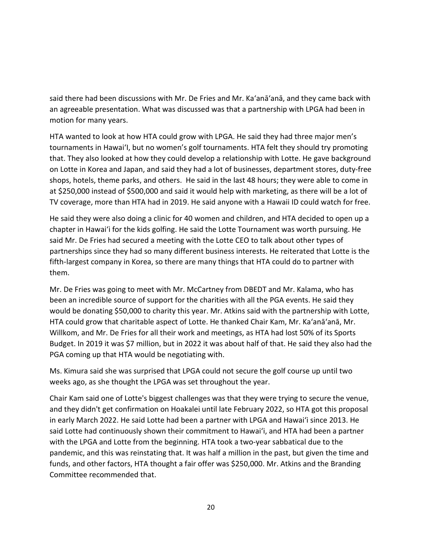said there had been discussions with Mr. De Fries and Mr. Ka'anā'anā, and they came back with an agreeable presentation. What was discussed was that a partnership with LPGA had been in motion for many years.

HTA wanted to look at how HTA could grow with LPGA. He said they had three major men's tournaments in Hawai'I, but no women's golf tournaments. HTA felt they should try promoting that. They also looked at how they could develop a relationship with Lotte. He gave background on Lotte in Korea and Japan, and said they had a lot of businesses, department stores, duty-free shops, hotels, theme parks, and others. He said in the last 48 hours; they were able to come in at \$250,000 instead of \$500,000 and said it would help with marketing, as there will be a lot of TV coverage, more than HTA had in 2019. He said anyone with a Hawaii ID could watch for free.

He said they were also doing a clinic for 40 women and children, and HTA decided to open up a chapter in Hawai'i for the kids golfing. He said the Lotte Tournament was worth pursuing. He said Mr. De Fries had secured a meeting with the Lotte CEO to talk about other types of partnerships since they had so many different business interests. He reiterated that Lotte is the fifth-largest company in Korea, so there are many things that HTA could do to partner with them.

Mr. De Fries was going to meet with Mr. McCartney from DBEDT and Mr. Kalama, who has been an incredible source of support for the charities with all the PGA events. He said they would be donating \$50,000 to charity this year. Mr. Atkins said with the partnership with Lotte, HTA could grow that charitable aspect of Lotte. He thanked Chair Kam, Mr. Ka'anā'anā, Mr. Willkom, and Mr. De Fries for all their work and meetings, as HTA had lost 50% of its Sports Budget. In 2019 it was \$7 million, but in 2022 it was about half of that. He said they also had the PGA coming up that HTA would be negotiating with.

Ms. Kimura said she was surprised that LPGA could not secure the golf course up until two weeks ago, as she thought the LPGA was set throughout the year.

Chair Kam said one of Lotte's biggest challenges was that they were trying to secure the venue, and they didn't get confirmation on Hoakalei until late February 2022, so HTA got this proposal in early March 2022. He said Lotte had been a partner with LPGA and Hawai'i since 2013. He said Lotte had continuously shown their commitment to Hawai'i, and HTA had been a partner with the LPGA and Lotte from the beginning. HTA took a two-year sabbatical due to the pandemic, and this was reinstating that. It was half a million in the past, but given the time and funds, and other factors, HTA thought a fair offer was \$250,000. Mr. Atkins and the Branding Committee recommended that.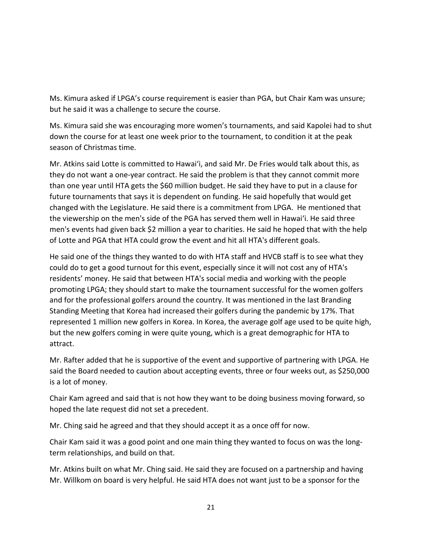Ms. Kimura asked if LPGA's course requirement is easier than PGA, but Chair Kam was unsure; but he said it was a challenge to secure the course.

Ms. Kimura said she was encouraging more women's tournaments, and said Kapolei had to shut down the course for at least one week prior to the tournament, to condition it at the peak season of Christmas time.

Mr. Atkins said Lotte is committed to Hawai'i, and said Mr. De Fries would talk about this, as they do not want a one-year contract. He said the problem is that they cannot commit more than one year until HTA gets the \$60 million budget. He said they have to put in a clause for future tournaments that says it is dependent on funding. He said hopefully that would get changed with the Legislature. He said there is a commitment from LPGA. He mentioned that the viewership on the men's side of the PGA has served them well in Hawai'i. He said three men's events had given back \$2 million a year to charities. He said he hoped that with the help of Lotte and PGA that HTA could grow the event and hit all HTA's different goals.

He said one of the things they wanted to do with HTA staff and HVCB staff is to see what they could do to get a good turnout for this event, especially since it will not cost any of HTA's residents' money. He said that between HTA's social media and working with the people promoting LPGA; they should start to make the tournament successful for the women golfers and for the professional golfers around the country. It was mentioned in the last Branding Standing Meeting that Korea had increased their golfers during the pandemic by 17%. That represented 1 million new golfers in Korea. In Korea, the average golf age used to be quite high, but the new golfers coming in were quite young, which is a great demographic for HTA to attract.

Mr. Rafter added that he is supportive of the event and supportive of partnering with LPGA. He said the Board needed to caution about accepting events, three or four weeks out, as \$250,000 is a lot of money.

Chair Kam agreed and said that is not how they want to be doing business moving forward, so hoped the late request did not set a precedent.

Mr. Ching said he agreed and that they should accept it as a once off for now.

Chair Kam said it was a good point and one main thing they wanted to focus on was the longterm relationships, and build on that.

Mr. Atkins built on what Mr. Ching said. He said they are focused on a partnership and having Mr. Willkom on board is very helpful. He said HTA does not want just to be a sponsor for the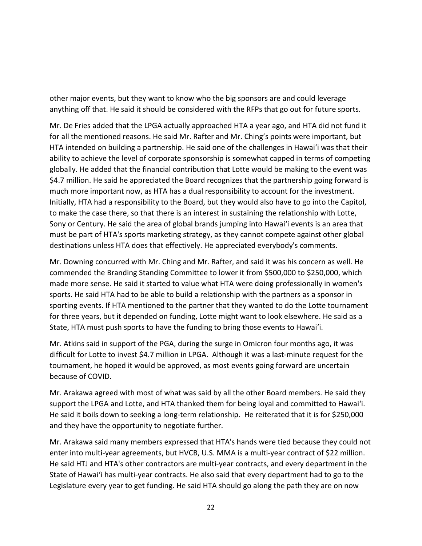other major events, but they want to know who the big sponsors are and could leverage anything off that. He said it should be considered with the RFPs that go out for future sports.

Mr. De Fries added that the LPGA actually approached HTA a year ago, and HTA did not fund it for all the mentioned reasons. He said Mr. Rafter and Mr. Ching's points were important, but HTA intended on building a partnership. He said one of the challenges in Hawai'i was that their ability to achieve the level of corporate sponsorship is somewhat capped in terms of competing globally. He added that the financial contribution that Lotte would be making to the event was \$4.7 million. He said he appreciated the Board recognizes that the partnership going forward is much more important now, as HTA has a dual responsibility to account for the investment. Initially, HTA had a responsibility to the Board, but they would also have to go into the Capitol, to make the case there, so that there is an interest in sustaining the relationship with Lotte, Sony or Century. He said the area of global brands jumping into Hawai'i events is an area that must be part of HTA's sports marketing strategy, as they cannot compete against other global destinations unless HTA does that effectively. He appreciated everybody's comments.

Mr. Downing concurred with Mr. Ching and Mr. Rafter, and said it was his concern as well. He commended the Branding Standing Committee to lower it from \$500,000 to \$250,000, which made more sense. He said it started to value what HTA were doing professionally in women's sports. He said HTA had to be able to build a relationship with the partners as a sponsor in sporting events. If HTA mentioned to the partner that they wanted to do the Lotte tournament for three years, but it depended on funding, Lotte might want to look elsewhere. He said as a State, HTA must push sports to have the funding to bring those events to Hawai'i.

Mr. Atkins said in support of the PGA, during the surge in Omicron four months ago, it was difficult for Lotte to invest \$4.7 million in LPGA. Although it was a last-minute request for the tournament, he hoped it would be approved, as most events going forward are uncertain because of COVID.

Mr. Arakawa agreed with most of what was said by all the other Board members. He said they support the LPGA and Lotte, and HTA thanked them for being loyal and committed to Hawai'i. He said it boils down to seeking a long-term relationship. He reiterated that it is for \$250,000 and they have the opportunity to negotiate further.

Mr. Arakawa said many members expressed that HTA's hands were tied because they could not enter into multi-year agreements, but HVCB, U.S. MMA is a multi-year contract of \$22 million. He said HTJ and HTA's other contractors are multi-year contracts, and every department in the State of Hawai'i has multi-year contracts. He also said that every department had to go to the Legislature every year to get funding. He said HTA should go along the path they are on now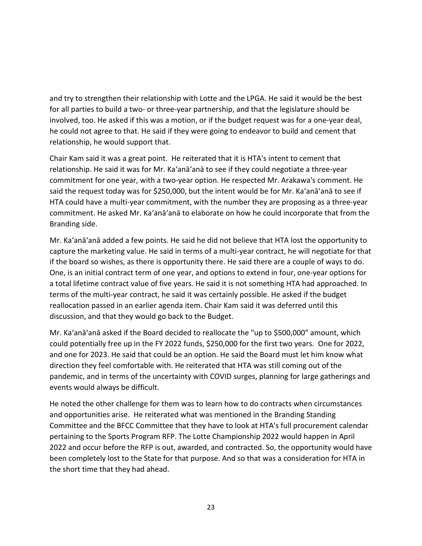and try to strengthen their relationship with Lotte and the LPGA. He said it would be the best for all parties to build a two- or three-year partnership, and that the legislature should be involved, too. He asked if this was a motion, or if the budget request was for a one-year deal, he could not agree to that. He said if they were going to endeavor to build and cement that relationship, he would support that.

Chair Kam said it was a great point. He reiterated that it is HTA's intent to cement that relationship. He said it was for Mr. Ka'anā'anā to see if they could negotiate a three-year commitment for one year, with a two-year option. He respected Mr. Arakawa's comment. He said the request today was for \$250,000, but the intent would be for Mr. Ka'anā'anā to see if HTA could have a multi-year commitment, with the number they are proposing as a three-year commitment. He asked Mr. Ka'anā'anā to elaborate on how he could incorporate that from the Branding side.

Mr. Ka'anā'anā added a few points. He said he did not believe that HTA lost the opportunity to capture the marketing value. He said in terms of a multi-year contract, he will negotiate for that if the board so wishes, as there is opportunity there. He said there are a couple of ways to do. One, is an initial contract term of one year, and options to extend in four, one-year options for a total lifetime contract value of five years. He said it is not something HTA had approached. In terms of the multi-year contract, he said it was certainly possible. He asked if the budget reallocation passed in an earlier agenda item. Chair Kam said it was deferred until this discussion, and that they would go back to the Budget.

Mr. Ka'anā'anā asked if the Board decided to reallocate the "up to \$500,000" amount, which could potentially free up in the FY 2022 funds, \$250,000 for the first two years. One for 2022, and one for 2023. He said that could be an option. He said the Board must let him know what direction they feel comfortable with. He reiterated that HTA was still coming out of the pandemic, and in terms of the uncertainty with COVID surges, planning for large gatherings and events would always be difficult.

He noted the other challenge for them was to learn how to do contracts when circumstances and opportunities arise. He reiterated what was mentioned in the Branding Standing Committee and the BFCC Committee that they have to look at HTA's full procurement calendar pertaining to the Sports Program RFP. The Lotte Championship 2022 would happen in April 2022 and occur before the RFP is out, awarded, and contracted. So, the opportunity would have been completely lost to the State for that purpose. And so that was a consideration for HTA in the short time that they had ahead.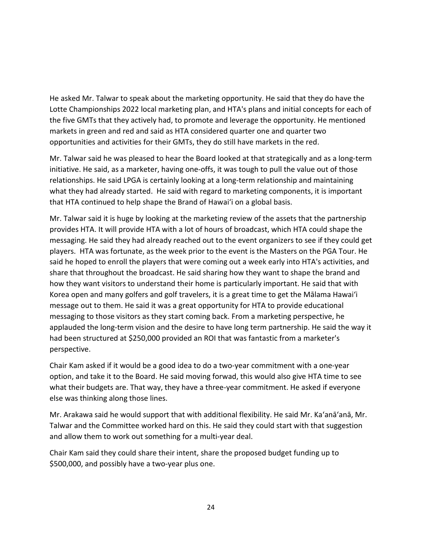He asked Mr. Talwar to speak about the marketing opportunity. He said that they do have the Lotte Championships 2022 local marketing plan, and HTA's plans and initial concepts for each of the five GMTs that they actively had, to promote and leverage the opportunity. He mentioned markets in green and red and said as HTA considered quarter one and quarter two opportunities and activities for their GMTs, they do still have markets in the red.

Mr. Talwar said he was pleased to hear the Board looked at that strategically and as a long-term initiative. He said, as a marketer, having one-offs, it was tough to pull the value out of those relationships. He said LPGA is certainly looking at a long-term relationship and maintaining what they had already started. He said with regard to marketing components, it is important that HTA continued to help shape the Brand of Hawai'i on a global basis.

Mr. Talwar said it is huge by looking at the marketing review of the assets that the partnership provides HTA. It will provide HTA with a lot of hours of broadcast, which HTA could shape the messaging. He said they had already reached out to the event organizers to see if they could get players. HTA was fortunate, as the week prior to the event is the Masters on the PGA Tour. He said he hoped to enroll the players that were coming out a week early into HTA's activities, and share that throughout the broadcast. He said sharing how they want to shape the brand and how they want visitors to understand their home is particularly important. He said that with Korea open and many golfers and golf travelers, it is a great time to get the Mālama Hawai'i message out to them. He said it was a great opportunity for HTA to provide educational messaging to those visitors as they start coming back. From a marketing perspective, he applauded the long-term vision and the desire to have long term partnership. He said the way it had been structured at \$250,000 provided an ROI that was fantastic from a marketer's perspective.

Chair Kam asked if it would be a good idea to do a two-year commitment with a one-year option, and take it to the Board. He said moving forwad, this would also give HTA time to see what their budgets are. That way, they have a three-year commitment. He asked if everyone else was thinking along those lines.

Mr. Arakawa said he would support that with additional flexibility. He said Mr. Ka'anā'anā, Mr. Talwar and the Committee worked hard on this. He said they could start with that suggestion and allow them to work out something for a multi-year deal.

Chair Kam said they could share their intent, share the proposed budget funding up to \$500,000, and possibly have a two-year plus one.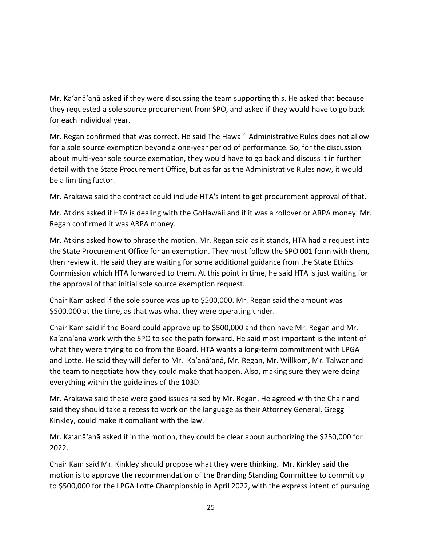Mr. Ka'anā'anā asked if they were discussing the team supporting this. He asked that because they requested a sole source procurement from SPO, and asked if they would have to go back for each individual year.

Mr. Regan confirmed that was correct. He said The Hawai'i Administrative Rules does not allow for a sole source exemption beyond a one-year period of performance. So, for the discussion about multi-year sole source exemption, they would have to go back and discuss it in further detail with the State Procurement Office, but as far as the Administrative Rules now, it would be a limiting factor.

Mr. Arakawa said the contract could include HTA's intent to get procurement approval of that.

Mr. Atkins asked if HTA is dealing with the GoHawaii and if it was a rollover or ARPA money. Mr. Regan confirmed it was ARPA money.

Mr. Atkins asked how to phrase the motion. Mr. Regan said as it stands, HTA had a request into the State Procurement Office for an exemption. They must follow the SPO 001 form with them, then review it. He said they are waiting for some additional guidance from the State Ethics Commission which HTA forwarded to them. At this point in time, he said HTA is just waiting for the approval of that initial sole source exemption request.

Chair Kam asked if the sole source was up to \$500,000. Mr. Regan said the amount was \$500,000 at the time, as that was what they were operating under.

Chair Kam said if the Board could approve up to \$500,000 and then have Mr. Regan and Mr. Ka'anā'anā work with the SPO to see the path forward. He said most important is the intent of what they were trying to do from the Board. HTA wants a long-term commitment with LPGA and Lotte. He said they will defer to Mr. Ka'anā'anā, Mr. Regan, Mr. Willkom, Mr. Talwar and the team to negotiate how they could make that happen. Also, making sure they were doing everything within the guidelines of the 103D.

Mr. Arakawa said these were good issues raised by Mr. Regan. He agreed with the Chair and said they should take a recess to work on the language as their Attorney General, Gregg Kinkley, could make it compliant with the law.

Mr. Ka'anā'anā asked if in the motion, they could be clear about authorizing the \$250,000 for 2022.

Chair Kam said Mr. Kinkley should propose what they were thinking. Mr. Kinkley said the motion is to approve the recommendation of the Branding Standing Committee to commit up to \$500,000 for the LPGA Lotte Championship in April 2022, with the express intent of pursuing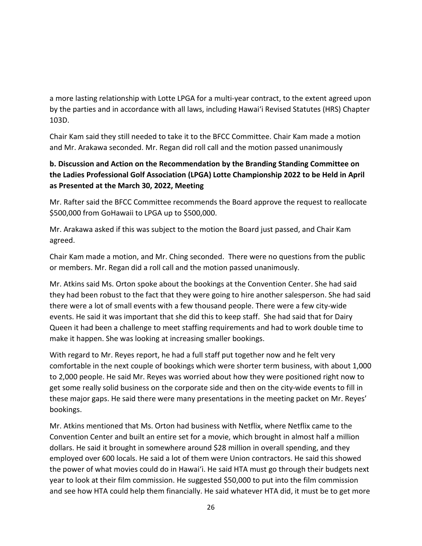a more lasting relationship with Lotte LPGA for a multi-year contract, to the extent agreed upon by the parties and in accordance with all laws, including Hawai'i Revised Statutes (HRS) Chapter 103D.

Chair Kam said they still needed to take it to the BFCC Committee. Chair Kam made a motion and Mr. Arakawa seconded. Mr. Regan did roll call and the motion passed unanimously

# **b. Discussion and Action on the Recommendation by the Branding Standing Committee on the Ladies Professional Golf Association (LPGA) Lotte Championship 2022 to be Held in April as Presented at the March 30, 2022, Meeting**

Mr. Rafter said the BFCC Committee recommends the Board approve the request to reallocate \$500,000 from GoHawaii to LPGA up to \$500,000.

Mr. Arakawa asked if this was subject to the motion the Board just passed, and Chair Kam agreed.

Chair Kam made a motion, and Mr. Ching seconded. There were no questions from the public or members. Mr. Regan did a roll call and the motion passed unanimously.

Mr. Atkins said Ms. Orton spoke about the bookings at the Convention Center. She had said they had been robust to the fact that they were going to hire another salesperson. She had said there were a lot of small events with a few thousand people. There were a few city-wide events. He said it was important that she did this to keep staff. She had said that for Dairy Queen it had been a challenge to meet staffing requirements and had to work double time to make it happen. She was looking at increasing smaller bookings.

With regard to Mr. Reyes report, he had a full staff put together now and he felt very comfortable in the next couple of bookings which were shorter term business, with about 1,000 to 2,000 people. He said Mr. Reyes was worried about how they were positioned right now to get some really solid business on the corporate side and then on the city-wide events to fill in these major gaps. He said there were many presentations in the meeting packet on Mr. Reyes' bookings.

Mr. Atkins mentioned that Ms. Orton had business with Netflix, where Netflix came to the Convention Center and built an entire set for a movie, which brought in almost half a million dollars. He said it brought in somewhere around \$28 million in overall spending, and they employed over 600 locals. He said a lot of them were Union contractors. He said this showed the power of what movies could do in Hawai'i. He said HTA must go through their budgets next year to look at their film commission. He suggested \$50,000 to put into the film commission and see how HTA could help them financially. He said whatever HTA did, it must be to get more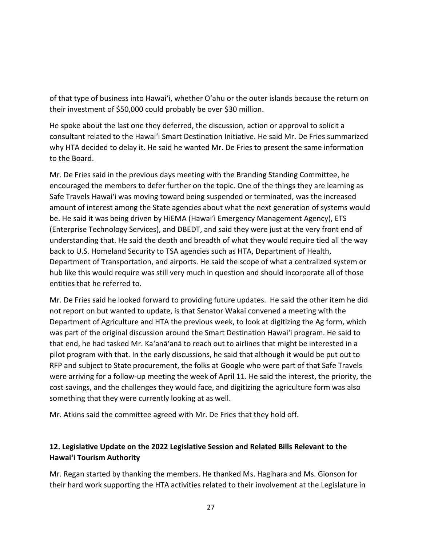of that type of business into Hawai'i, whether O'ahu or the outer islands because the return on their investment of \$50,000 could probably be over \$30 million.

He spoke about the last one they deferred, the discussion, action or approval to solicit a consultant related to the Hawai'i Smart Destination Initiative. He said Mr. De Fries summarized why HTA decided to delay it. He said he wanted Mr. De Fries to present the same information to the Board.

Mr. De Fries said in the previous days meeting with the Branding Standing Committee, he encouraged the members to defer further on the topic. One of the things they are learning as Safe Travels Hawai'i was moving toward being suspended or terminated, was the increased amount of interest among the State agencies about what the next generation of systems would be. He said it was being driven by HiEMA (Hawai'i Emergency Management Agency), ETS (Enterprise Technology Services), and DBEDT, and said they were just at the very front end of understanding that. He said the depth and breadth of what they would require tied all the way back to U.S. Homeland Security to TSA agencies such as HTA, Department of Health, Department of Transportation, and airports. He said the scope of what a centralized system or hub like this would require was still very much in question and should incorporate all of those entities that he referred to.

Mr. De Fries said he looked forward to providing future updates. He said the other item he did not report on but wanted to update, is that Senator Wakai convened a meeting with the Department of Agriculture and HTA the previous week, to look at digitizing the Ag form, which was part of the original discussion around the Smart Destination Hawai'i program. He said to that end, he had tasked Mr. Ka'anā'anā to reach out to airlines that might be interested in a pilot program with that. In the early discussions, he said that although it would be put out to RFP and subject to State procurement, the folks at Google who were part of that Safe Travels were arriving for a follow-up meeting the week of April 11. He said the interest, the priority, the cost savings, and the challenges they would face, and digitizing the agriculture form was also something that they were currently looking at as well.

Mr. Atkins said the committee agreed with Mr. De Fries that they hold off.

## **12. Legislative Update on the 2022 Legislative Session and Related Bills Relevant to the Hawaiʻi Tourism Authority**

Mr. Regan started by thanking the members. He thanked Ms. Hagihara and Ms. Gionson for their hard work supporting the HTA activities related to their involvement at the Legislature in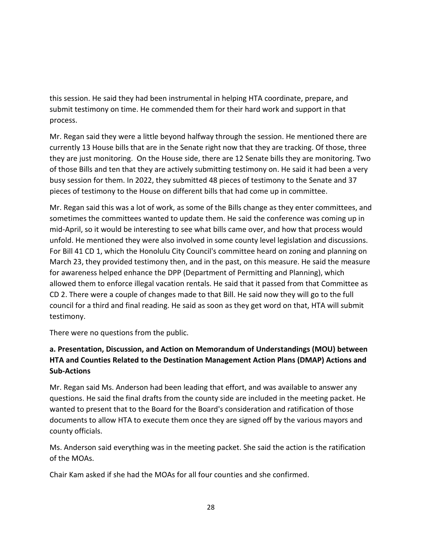this session. He said they had been instrumental in helping HTA coordinate, prepare, and submit testimony on time. He commended them for their hard work and support in that process.

Mr. Regan said they were a little beyond halfway through the session. He mentioned there are currently 13 House bills that are in the Senate right now that they are tracking. Of those, three they are just monitoring. On the House side, there are 12 Senate bills they are monitoring. Two of those Bills and ten that they are actively submitting testimony on. He said it had been a very busy session for them. In 2022, they submitted 48 pieces of testimony to the Senate and 37 pieces of testimony to the House on different bills that had come up in committee.

Mr. Regan said this was a lot of work, as some of the Bills change as they enter committees, and sometimes the committees wanted to update them. He said the conference was coming up in mid-April, so it would be interesting to see what bills came over, and how that process would unfold. He mentioned they were also involved in some county level legislation and discussions. For Bill 41 CD 1, which the Honolulu City Council's committee heard on zoning and planning on March 23, they provided testimony then, and in the past, on this measure. He said the measure for awareness helped enhance the DPP (Department of Permitting and Planning), which allowed them to enforce illegal vacation rentals. He said that it passed from that Committee as CD 2. There were a couple of changes made to that Bill. He said now they will go to the full council for a third and final reading. He said as soon as they get word on that, HTA will submit testimony.

There were no questions from the public.

## **a. Presentation, Discussion, and Action on Memorandum of Understandings (MOU) between HTA and Counties Related to the Destination Management Action Plans (DMAP) Actions and Sub-Actions**

Mr. Regan said Ms. Anderson had been leading that effort, and was available to answer any questions. He said the final drafts from the county side are included in the meeting packet. He wanted to present that to the Board for the Board's consideration and ratification of those documents to allow HTA to execute them once they are signed off by the various mayors and county officials.

Ms. Anderson said everything was in the meeting packet. She said the action is the ratification of the MOAs.

Chair Kam asked if she had the MOAs for all four counties and she confirmed.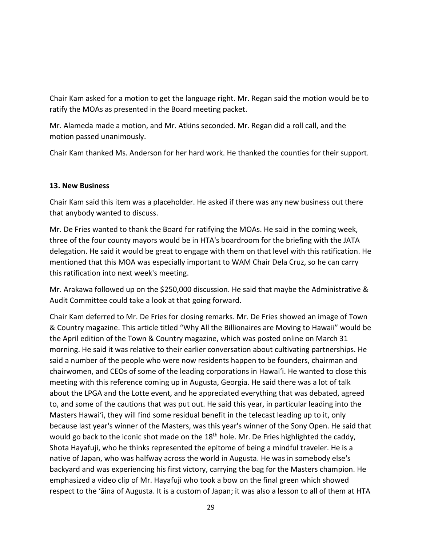Chair Kam asked for a motion to get the language right. Mr. Regan said the motion would be to ratify the MOAs as presented in the Board meeting packet.

Mr. Alameda made a motion, and Mr. Atkins seconded. Mr. Regan did a roll call, and the motion passed unanimously.

Chair Kam thanked Ms. Anderson for her hard work. He thanked the counties for their support.

#### **13. New Business**

Chair Kam said this item was a placeholder. He asked if there was any new business out there that anybody wanted to discuss.

Mr. De Fries wanted to thank the Board for ratifying the MOAs. He said in the coming week, three of the four county mayors would be in HTA's boardroom for the briefing with the JATA delegation. He said it would be great to engage with them on that level with this ratification. He mentioned that this MOA was especially important to WAM Chair Dela Cruz, so he can carry this ratification into next week's meeting.

Mr. Arakawa followed up on the \$250,000 discussion. He said that maybe the Administrative & Audit Committee could take a look at that going forward.

Chair Kam deferred to Mr. De Fries for closing remarks. Mr. De Fries showed an image of Town & Country magazine. This article titled "Why All the Billionaires are Moving to Hawaii" would be the April edition of the Town & Country magazine, which was posted online on March 31 morning. He said it was relative to their earlier conversation about cultivating partnerships. He said a number of the people who were now residents happen to be founders, chairman and chairwomen, and CEOs of some of the leading corporations in Hawai'i. He wanted to close this meeting with this reference coming up in Augusta, Georgia. He said there was a lot of talk about the LPGA and the Lotte event, and he appreciated everything that was debated, agreed to, and some of the cautions that was put out. He said this year, in particular leading into the Masters Hawai'i, they will find some residual benefit in the telecast leading up to it, only because last year's winner of the Masters, was this year's winner of the Sony Open. He said that would go back to the iconic shot made on the 18<sup>th</sup> hole. Mr. De Fries highlighted the caddy, Shota Hayafuji, who he thinks represented the epitome of being a mindful traveler. He is a native of Japan, who was halfway across the world in Augusta. He was in somebody else's backyard and was experiencing his first victory, carrying the bag for the Masters champion. He emphasized a video clip of Mr. Hayafuji who took a bow on the final green which showed respect to the 'āina of Augusta. It is a custom of Japan; it was also a lesson to all of them at HTA